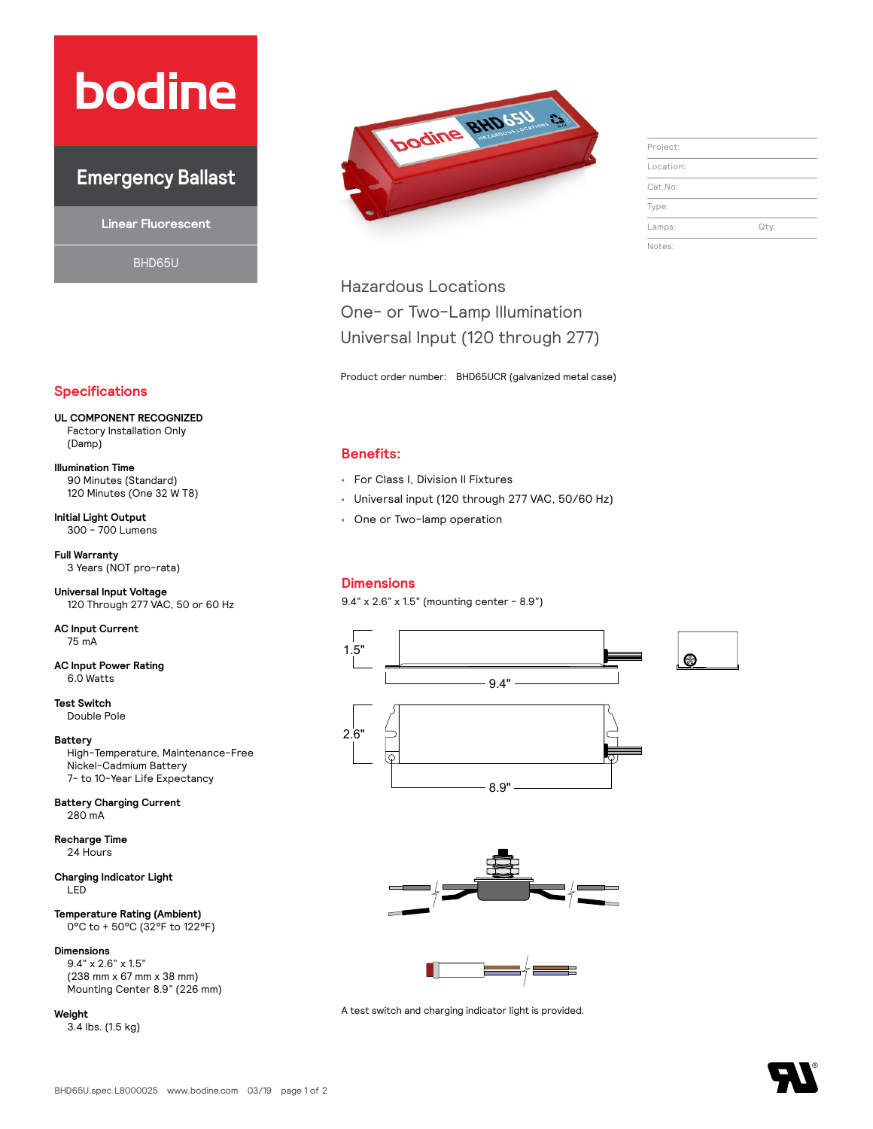# **bodine**

## **Emergency Ballast**

**Linear Fluorescent**

BHD65U



| Project:  |      |
|-----------|------|
| Location: |      |
| Cat.No:   |      |
| Type:     |      |
| Lamps:    | Qty: |
| Notes:    |      |

Hazardous Locations One- or Two-Lamp Illumination Universal Input (120 through 277)

Product order number: BHD65UCR (galvanized metal case)

#### **Benefits:**

- For Class I, Division ll Fixtures
- Universal input (120 through 277 VAC, 50/60 Hz)
- One or Two-lamp operation

#### **Dimensions**

9.4" x 2.6" x 1.5" (mounting center - 8.9")







A test switch and charging indicator light is provided.

### **Specifications**

**UL COMPONENT RECOGNIZED** Factory Installation Only (Damp)

**Illumination Time** 90 Minutes (Standard) 120 Minutes (One 32 W T8)

**Initial Light Output** 300 - 700 Lumens

**Full Warranty** 3 Years (NOT pro-rata)

**Universal Input Voltage** 120 Through 277 VAC, 50 or 60 Hz

**AC Input Current** 75 mA

**AC Input Power Rating** 6.0 Watts

**Test Switch** Double Pole

**Battery** High-Temperature, Maintenance-Free Nickel-Cadmium Battery 7- to 10-Year Life Expectancy

**Battery Charging Current** 280 mA

**Recharge Time** 24 Hours

**Charging Indicator Light** LED

**Temperature Rating (Ambient)** 0°C to + 50°C (32°F to 122°F)

#### **Dimensions**

9.4" x 2.6" x 1.5" (238 mm x 67 mm x 38 mm) Mounting Center 8.9" (226 mm)

#### **Weight**

3.4 lbs. (1.5 kg)